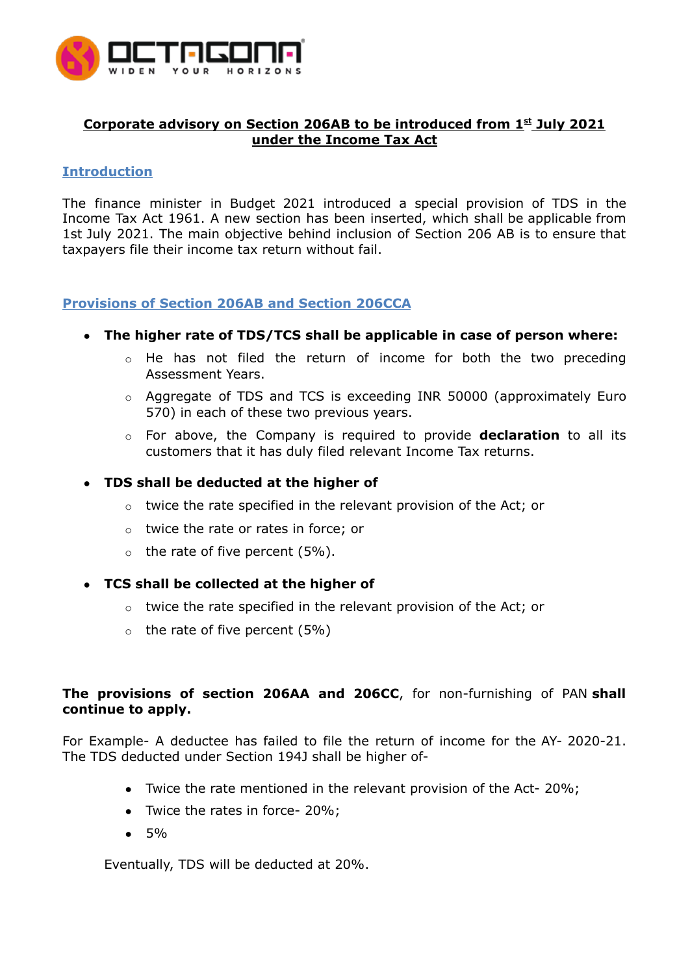

# **Corporate advisory on Section 206AB to be introduced from 1 st July 2021 under the Income Tax Act**

## **Introduction**

The finance minister in Budget 2021 introduced a special provision of TDS in the Income Tax Act 1961. A new section has been inserted, which shall be applicable from 1st July 2021. The main objective behind inclusion of Section 206 AB is to ensure that taxpayers file their [income](https://enterslice.com/income-tax-return-filing) tax return without fail.

# **Provisions of Section 206AB and Section 206CCA**

- **● The higher rate of TDS/TCS shall be applicable in case of person where:**
	- o He has not filed the return of income for both the two preceding Assessment Years.
	- o Aggregate of TDS and TCS is exceeding INR 50000 (approximately Euro 570) in each of these two previous years.
	- o For above, the Company is required to provide **declaration** to all its customers that it has duly filed relevant Income Tax returns.

## **● TDS shall be deducted at the higher of**

- o twice the rate specified in the relevant provision of the Act; or
- o twice the rate or rates in force; or
- $\circ$  the rate of five percent (5%).
- **● TCS shall be collected at the higher of**
	- $\circ$  twice the rate specified in the relevant provision of the Act; or
	- $\circ$  the rate of five percent (5%)

# **The provisions of section 206AA and 206CC**, for non-furnishing of PAN **shall continue to apply.**

For Example- A deductee has failed to file the return of income for the AY- 2020-21. The TDS deducted under Section 194J shall be higher of-

- Twice the rate mentioned in the relevant provision of the Act-20%;
- Twice the rates in force- 20%;
- 5%

Eventually, TDS will be deducted at 20%.